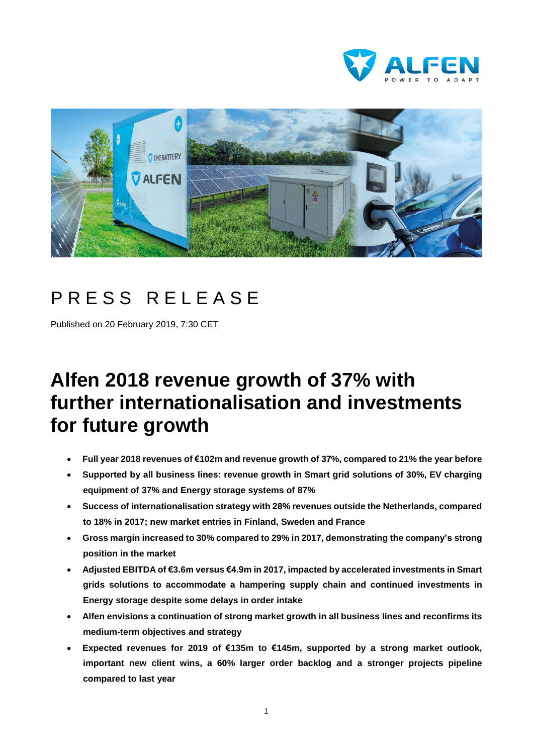



# PRESS RELEASE

Published on 20 February 2019, 7:30 CET

# **Alfen 2018 revenue growth of 37% with further internationalisation and investments for future growth**

- **Full year 2018 revenues of €102m and revenue growth of 37%, compared to 21% the year before**
- **Supported by all business lines: revenue growth in Smart grid solutions of 30%, EV charging equipment of 37% and Energy storage systems of 87%**
- **Success of internationalisation strategy with 28% revenues outside the Netherlands, compared to 18% in 2017; new market entries in Finland, Sweden and France**
- **Gross margin increased to 30% compared to 29% in 2017, demonstrating the company's strong position in the market**
- **Adjusted EBITDA of €3.6m versus €4.9m in 2017, impacted by accelerated investments in Smart grids solutions to accommodate a hampering supply chain and continued investments in Energy storage despite some delays in order intake**
- **Alfen envisions a continuation of strong market growth in all business lines and reconfirms its medium-term objectives and strategy**
- **Expected revenues for 2019 of €135m to €145m, supported by a strong market outlook, important new client wins, a 60% larger order backlog and a stronger projects pipeline compared to last year**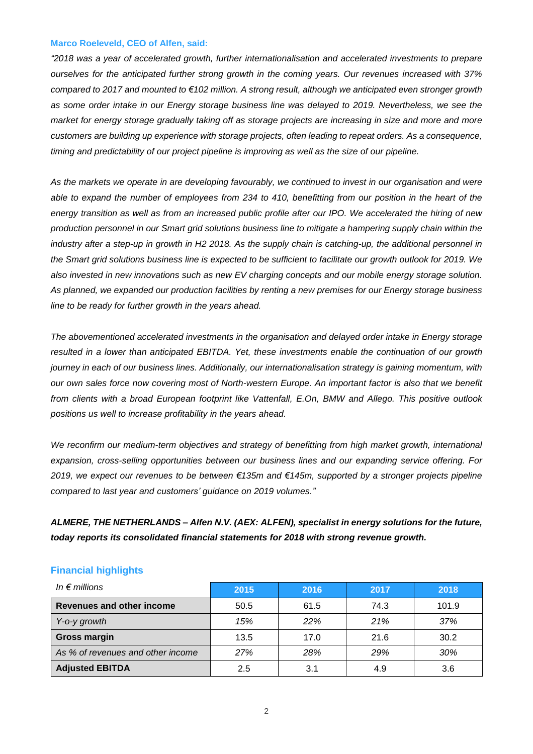#### **Marco Roeleveld, CEO of Alfen, said:**

*"2018 was a year of accelerated growth, further internationalisation and accelerated investments to prepare ourselves for the anticipated further strong growth in the coming years. Our revenues increased with 37%* compared to 2017 and mounted to €102 million. A strong result, although we anticipated even stronger growth as some order intake in our Energy storage business line was delayed to 2019. Nevertheless, we see the market for energy storage gradually taking off as storage projects are increasing in size and more and more *customers are building up experience with storage projects, often leading to repeat orders. As a consequence, timing and predictability of our project pipeline is improving as well as the size of our pipeline.*

As the markets we operate in are developing favourably, we continued to invest in our organisation and were able to expand the number of employees from 234 to 410, benefitting from our position in the heart of the energy transition as well as from an increased public profile after our IPO. We accelerated the hiring of new production personnel in our Smart grid solutions business line to mitigate a hampering supply chain within the industry after a step-up in growth in H2 2018. As the supply chain is catching-up, the additional personnel in the Smart grid solutions business line is expected to be sufficient to facilitate our growth outlook for 2019. We *also invested in new innovations such as new EV charging concepts and our mobile energy storage solution.* As planned, we expanded our production facilities by renting a new premises for our Energy storage business *line to be ready for further growth in the years ahead.*

*The abovementioned accelerated investments in the organisation and delayed order intake in Energy storage resulted in a lower than anticipated EBITDA. Yet, these investments enable the continuation of our growth journey in each of our business lines. Additionally, our internationalisation strategy is gaining momentum, with* our own sales force now covering most of North-western Europe. An important factor is also that we benefit *from clients with a broad European footprint like Vattenfall, E.On, BMW and Allego. This positive outlook positions us well to increase profitability in the years ahead.*

*We reconfirm our medium-term objectives and strategy of benefitting from high market growth, international expansion, cross-selling opportunities between our business lines and our expanding service offering. For 2019, we expect our revenues to be between €135m and €145m, supported by a stronger projects pipeline compared to last year and customers' guidance on 2019 volumes."*

*ALMERE, THE NETHERLANDS – Alfen N.V. (AEX: ALFEN), specialist in energy solutions for the future, today reports its consolidated financial statements for 2018 with strong revenue growth.*

| In $\epsilon$ millions            | 2015 | 2016 | 2017 | 2018  |
|-----------------------------------|------|------|------|-------|
| <b>Revenues and other income</b>  | 50.5 | 61.5 | 74.3 | 101.9 |
| Y-o-y growth                      | 15%  | 22%  | 21%  | 37%   |
| <b>Gross margin</b>               | 13.5 | 17.0 | 21.6 | 30.2  |
| As % of revenues and other income | 27%  | 28%  | 29%  | 30%   |
| <b>Adjusted EBITDA</b>            | 2.5  | 3.1  | 4.9  | 3.6   |

## **Financial highlights**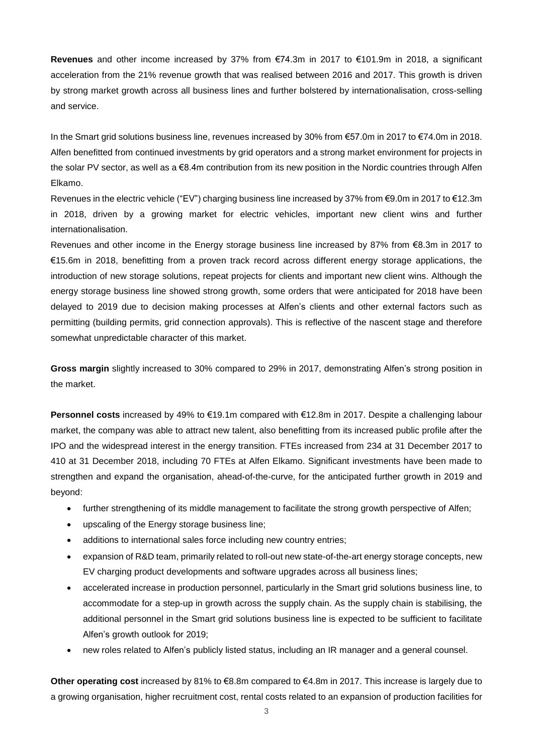**Revenues** and other income increased by 37% from €74.3m in 2017 to €101.9m in 2018, a significant acceleration from the 21% revenue growth that was realised between 2016 and 2017. This growth is driven by strong market growth across all business lines and further bolstered by internationalisation, cross-selling and service.

In the Smart grid solutions business line, revenues increased by 30% from €57.0m in 2017 to €74.0m in 2018. Alfen benefitted from continued investments by grid operators and a strong market environment for projects in the solar PV sector, as well as a €8.4m contribution from its new position in the Nordic countries through Alfen Elkamo.

Revenues in the electric vehicle ("EV") charging business line increased by 37% from €9.0m in 2017 to €12.3m in 2018, driven by a growing market for electric vehicles, important new client wins and further internationalisation.

Revenues and other income in the Energy storage business line increased by 87% from €8.3m in 2017 to €15.6m in 2018, benefitting from a proven track record across different energy storage applications, the introduction of new storage solutions, repeat projects for clients and important new client wins. Although the energy storage business line showed strong growth, some orders that were anticipated for 2018 have been delayed to 2019 due to decision making processes at Alfen's clients and other external factors such as permitting (building permits, grid connection approvals). This is reflective of the nascent stage and therefore somewhat unpredictable character of this market.

**Gross margin** slightly increased to 30% compared to 29% in 2017, demonstrating Alfen's strong position in the market.

**Personnel costs** increased by 49% to €19.1m compared with €12.8m in 2017. Despite a challenging labour market, the company was able to attract new talent, also benefitting from its increased public profile after the IPO and the widespread interest in the energy transition. FTEs increased from 234 at 31 December 2017 to 410 at 31 December 2018, including 70 FTEs at Alfen Elkamo. Significant investments have been made to strengthen and expand the organisation, ahead-of-the-curve, for the anticipated further growth in 2019 and beyond:

- further strengthening of its middle management to facilitate the strong growth perspective of Alfen;
- upscaling of the Energy storage business line;
- additions to international sales force including new country entries;
- expansion of R&D team, primarily related to roll-out new state-of-the-art energy storage concepts, new EV charging product developments and software upgrades across all business lines;
- accelerated increase in production personnel, particularly in the Smart grid solutions business line, to accommodate for a step-up in growth across the supply chain. As the supply chain is stabilising, the additional personnel in the Smart grid solutions business line is expected to be sufficient to facilitate Alfen's growth outlook for 2019;
- new roles related to Alfen's publicly listed status, including an IR manager and a general counsel.

**Other operating cost** increased by 81% to €8.8m compared to €4.8m in 2017. This increase is largely due to a growing organisation, higher recruitment cost, rental costs related to an expansion of production facilities for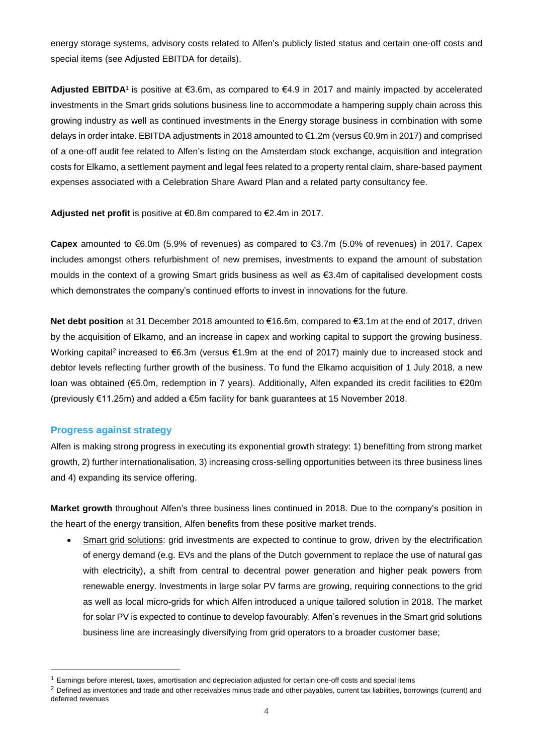energy storage systems, advisory costs related to Alfen's publicly listed status and certain one-off costs and special items (see Adjusted EBITDA for details).

**Adjusted EBITDA**1 is positive at €3.6m, as compared to €4.9 in 2017 and mainly impacted by accelerated investments in the Smart grids solutions business line to accommodate a hampering supply chain across this growing industry as well as continued investments in the Energy storage business in combination with some delays in order intake. EBITDA adjustments in 2018 amounted to €1.2m (versus €0.9m in 2017) and comprised of a one-off audit fee related to Alfen's listing on the Amsterdam stock exchange, acquisition and integration costs for Elkamo, a settlement payment and legal fees related to a property rental claim, share-based payment expenses associated with a Celebration Share Award Plan and a related party consultancy fee.

**Adjusted net profit** is positive at €0.8m compared to €2.4m in 2017.

**Capex** amounted to €6.0m (5.9% of revenues) as compared to €3.7m (5.0% of revenues) in 2017. Capex includes amongst others refurbishment of new premises, investments to expand the amount of substation moulds in the context of a growing Smart grids business as well as €3.4m of capitalised development costs which demonstrates the company's continued efforts to invest in innovations for the future.

**Net debt position** at 31 December 2018 amounted to €16.6m, compared to €3.1m at the end of 2017, driven by the acquisition of Elkamo, and an increase in capex and working capital to support the growing business. Working capital<sup>2</sup> increased to €6.3m (versus €1.9m at the end of 2017) mainly due to increased stock and debtor levels reflecting further growth of the business. To fund the Elkamo acquisition of 1 July 2018, a new loan was obtained (€5.0m, redemption in 7 years). Additionally, Alfen expanded its credit facilities to €20m (previously €11.25m) and added a €5m facility for bank guarantees at 15 November 2018.

## **Progress against strategy**

 $\overline{a}$ 

Alfen is making strong progress in executing its exponential growth strategy: 1) benefitting from strong market growth, 2) further internationalisation, 3) increasing cross-selling opportunities between its three business lines and 4) expanding its service offering.

**Market growth** throughout Alfen's three business lines continued in 2018. Due to the company's position in the heart of the energy transition, Alfen benefits from these positive market trends.

 Smart grid solutions: grid investments are expected to continue to grow, driven by the electrification of energy demand (e.g. EVs and the plans of the Dutch government to replace the use of natural gas with electricity), a shift from central to decentral power generation and higher peak powers from renewable energy. Investments in large solar PV farms are growing, requiring connections to the grid as well as local micro-grids for which Alfen introduced a unique tailored solution in 2018. The market for solar PV is expected to continue to develop favourably. Alfen's revenues in the Smart grid solutions business line are increasingly diversifying from grid operators to a broader customer base;

<sup>&</sup>lt;sup>1</sup> Earnings before interest, taxes, amortisation and depreciation adjusted for certain one-off costs and special items

<sup>&</sup>lt;sup>2</sup> Defined as inventories and trade and other receivables minus trade and other payables, current tax liabilities, borrowings (current) and deferred revenues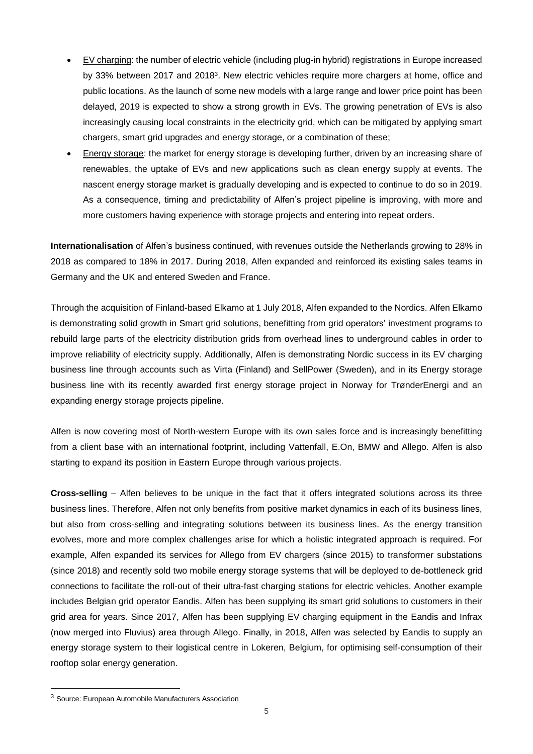- EV charging: the number of electric vehicle (including plug-in hybrid) registrations in Europe increased by 33% between 2017 and 2018<sup>3</sup>. New electric vehicles require more chargers at home, office and public locations. As the launch of some new models with a large range and lower price point has been delayed, 2019 is expected to show a strong growth in EVs. The growing penetration of EVs is also increasingly causing local constraints in the electricity grid, which can be mitigated by applying smart chargers, smart grid upgrades and energy storage, or a combination of these;
- Energy storage: the market for energy storage is developing further, driven by an increasing share of renewables, the uptake of EVs and new applications such as clean energy supply at events. The nascent energy storage market is gradually developing and is expected to continue to do so in 2019. As a consequence, timing and predictability of Alfen's project pipeline is improving, with more and more customers having experience with storage projects and entering into repeat orders.

**Internationalisation** of Alfen's business continued, with revenues outside the Netherlands growing to 28% in 2018 as compared to 18% in 2017. During 2018, Alfen expanded and reinforced its existing sales teams in Germany and the UK and entered Sweden and France.

Through the acquisition of Finland-based Elkamo at 1 July 2018, Alfen expanded to the Nordics. Alfen Elkamo is demonstrating solid growth in Smart grid solutions, benefitting from grid operators' investment programs to rebuild large parts of the electricity distribution grids from overhead lines to underground cables in order to improve reliability of electricity supply. Additionally, Alfen is demonstrating Nordic success in its EV charging business line through accounts such as Virta (Finland) and SellPower (Sweden), and in its Energy storage business line with its recently awarded first energy storage project in Norway for TrønderEnergi and an expanding energy storage projects pipeline.

Alfen is now covering most of North-western Europe with its own sales force and is increasingly benefitting from a client base with an international footprint, including Vattenfall, E.On, BMW and Allego. Alfen is also starting to expand its position in Eastern Europe through various projects.

**Cross-selling** – Alfen believes to be unique in the fact that it offers integrated solutions across its three business lines. Therefore, Alfen not only benefits from positive market dynamics in each of its business lines, but also from cross-selling and integrating solutions between its business lines. As the energy transition evolves, more and more complex challenges arise for which a holistic integrated approach is required. For example, Alfen expanded its services for Allego from EV chargers (since 2015) to transformer substations (since 2018) and recently sold two mobile energy storage systems that will be deployed to de-bottleneck grid connections to facilitate the roll-out of their ultra-fast charging stations for electric vehicles. Another example includes Belgian grid operator Eandis. Alfen has been supplying its smart grid solutions to customers in their grid area for years. Since 2017, Alfen has been supplying EV charging equipment in the Eandis and Infrax (now merged into Fluvius) area through Allego. Finally, in 2018, Alfen was selected by Eandis to supply an energy storage system to their logistical centre in Lokeren, Belgium, for optimising self-consumption of their rooftop solar energy generation.

<sup>3</sup> Source: European Automobile Manufacturers Association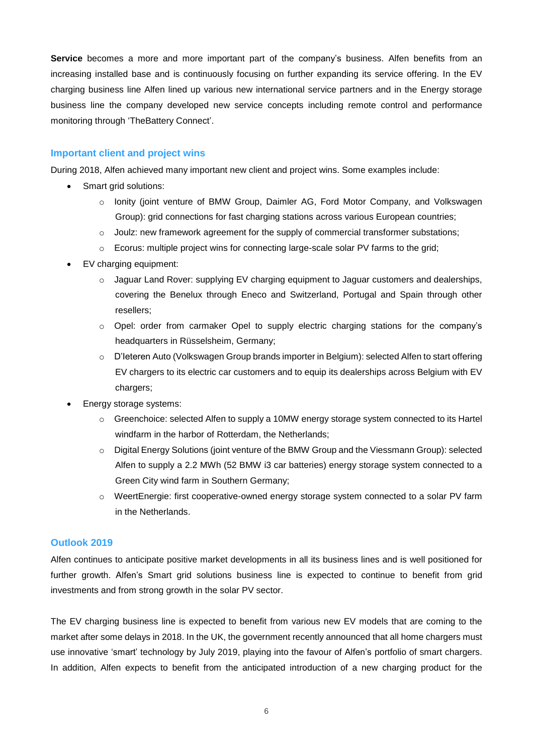**Service** becomes a more and more important part of the company's business. Alfen benefits from an increasing installed base and is continuously focusing on further expanding its service offering. In the EV charging business line Alfen lined up various new international service partners and in the Energy storage business line the company developed new service concepts including remote control and performance monitoring through 'TheBattery Connect'.

## **Important client and project wins**

During 2018, Alfen achieved many important new client and project wins. Some examples include:

- Smart grid solutions:
	- o Ionity (joint venture of BMW Group, Daimler AG, Ford Motor Company, and Volkswagen Group): grid connections for fast charging stations across various European countries;
	- $\circ$  Joulz: new framework agreement for the supply of commercial transformer substations;
	- o Ecorus: multiple project wins for connecting large-scale solar PV farms to the grid;
- EV charging equipment:
	- o Jaguar Land Rover: supplying EV charging equipment to Jaguar customers and dealerships, covering the Benelux through Eneco and Switzerland, Portugal and Spain through other resellers;
	- o Opel: order from carmaker Opel to supply electric charging stations for the company's headquarters in Rüsselsheim, Germany;
	- o D'Ieteren Auto (Volkswagen Group brands importer in Belgium): selected Alfen to start offering EV chargers to its electric car customers and to equip its dealerships across Belgium with EV chargers;
- Energy storage systems:
	- $\circ$  Greenchoice: selected Alfen to supply a 10MW energy storage system connected to its Hartel windfarm in the harbor of Rotterdam, the Netherlands;
	- o Digital Energy Solutions (joint venture of the BMW Group and the Viessmann Group): selected Alfen to supply a 2.2 MWh (52 BMW i3 car batteries) energy storage system connected to a Green City wind farm in Southern Germany;
	- o WeertEnergie: first cooperative-owned energy storage system connected to a solar PV farm in the Netherlands.

## **Outlook 2019**

Alfen continues to anticipate positive market developments in all its business lines and is well positioned for further growth. Alfen's Smart grid solutions business line is expected to continue to benefit from grid investments and from strong growth in the solar PV sector.

The EV charging business line is expected to benefit from various new EV models that are coming to the market after some delays in 2018. In the UK, the government recently announced that all home chargers must use innovative 'smart' technology by July 2019, playing into the favour of Alfen's portfolio of smart chargers. In addition, Alfen expects to benefit from the anticipated introduction of a new charging product for the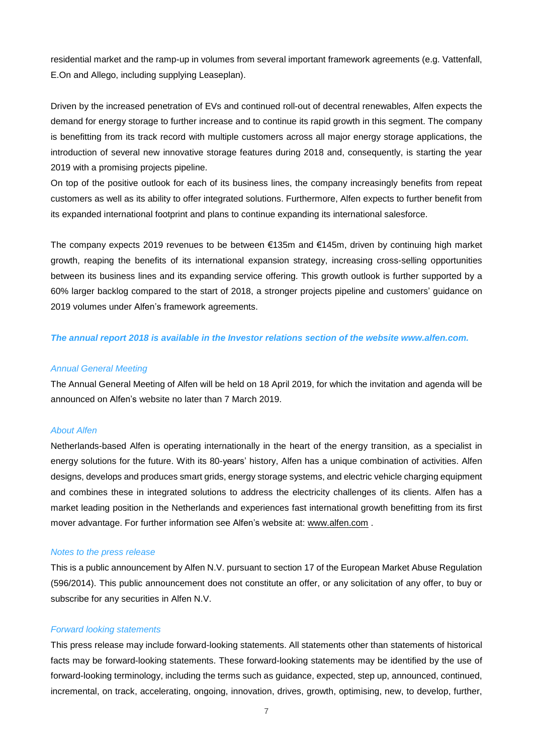residential market and the ramp-up in volumes from several important framework agreements (e.g. Vattenfall, E.On and Allego, including supplying Leaseplan).

Driven by the increased penetration of EVs and continued roll-out of decentral renewables, Alfen expects the demand for energy storage to further increase and to continue its rapid growth in this segment. The company is benefitting from its track record with multiple customers across all major energy storage applications, the introduction of several new innovative storage features during 2018 and, consequently, is starting the year 2019 with a promising projects pipeline.

On top of the positive outlook for each of its business lines, the company increasingly benefits from repeat customers as well as its ability to offer integrated solutions. Furthermore, Alfen expects to further benefit from its expanded international footprint and plans to continue expanding its international salesforce.

The company expects 2019 revenues to be between €135m and €145m, driven by continuing high market growth, reaping the benefits of its international expansion strategy, increasing cross-selling opportunities between its business lines and its expanding service offering. This growth outlook is further supported by a 60% larger backlog compared to the start of 2018, a stronger projects pipeline and customers' guidance on 2019 volumes under Alfen's framework agreements.

*The annual report 2018 is available in the Investor relations section of the website www.alfen.com.*

#### *Annual General Meeting*

The Annual General Meeting of Alfen will be held on 18 April 2019, for which the invitation and agenda will be announced on Alfen's website no later than 7 March 2019.

# *About Alfen*

Netherlands-based Alfen is operating internationally in the heart of the energy transition, as a specialist in energy solutions for the future. With its 80-years' history, Alfen has a unique combination of activities. Alfen designs, develops and produces smart grids, energy storage systems, and electric vehicle charging equipment and combines these in integrated solutions to address the electricity challenges of its clients. Alfen has a market leading position in the Netherlands and experiences fast international growth benefitting from its first mover advantage. For further information see Alfen's website at: [www.alfen.com](http://www.alfen.com/).

### *Notes to the press release*

This is a public announcement by Alfen N.V. pursuant to section 17 of the European Market Abuse Regulation (596/2014). This public announcement does not constitute an offer, or any solicitation of any offer, to buy or subscribe for any securities in Alfen N.V.

#### *Forward looking statements*

This press release may include forward-looking statements. All statements other than statements of historical facts may be forward-looking statements. These forward-looking statements may be identified by the use of forward-looking terminology, including the terms such as guidance, expected, step up, announced, continued, incremental, on track, accelerating, ongoing, innovation, drives, growth, optimising, new, to develop, further,